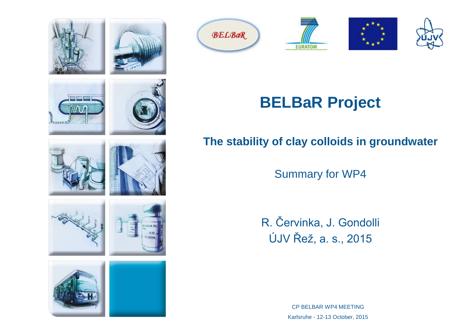



























# **BELBaR Project**

#### **The stability of clay colloids in groundwater**

Summary for WP4

R. Červinka, J. Gondolli ÚJV Řež, a. s., 2015

> CP BELBAR WP4 MEETING Karlsruhe - 12-13 October, 2015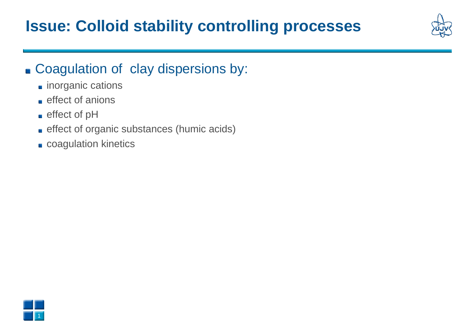### **Issue: Colloid stability controlling processes**

### Coagulation of clay dispersions by:

- **n** inorganic cations
- $\blacksquare$  effect of anions
- effect of pH
- **effect of organic substances (humic acids)**
- **coagulation kinetics**

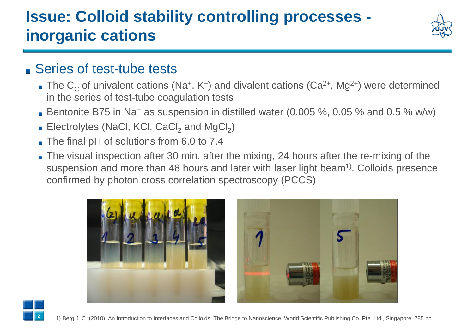# **Issue: Colloid stability controlling processes inorganic cations**



### ■ Series of test-tube tests

- The  $C_C$  of univalent cations (Na<sup>+</sup>, K<sup>+</sup>) and divalent cations (Ca<sup>2+</sup>, Mg<sup>2+</sup>) were determined in the series of test-tube coagulation tests
- Bentonite B75 in Na<sup>+</sup> as suspension in distilled water (0.005 %, 0.05 % and 0.5 % w/w)
- Electrolytes (NaCl, KCl, CaCl<sub>2</sub> and MgCl<sub>2</sub>)
- The final pH of solutions from 6.0 to 7.4
- The visual inspection after 30 min. after the mixing, 24 hours after the re-mixing of the suspension and more than 48 hours and later with laser light beam<sup>1)</sup>. Colloids presence confirmed by photon cross correlation spectroscopy (PCCS)





1} Berg J. C. (2010). An Introduction to Interfaces and Colloids: The Bridge to Nanoscience. World Scientific Publishing Co. Pte. Ltd., Singapore, 785 pp.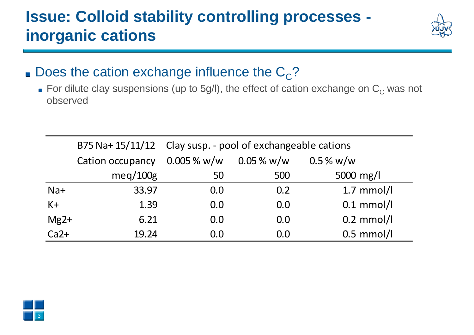## **Issue: Colloid stability controlling processes inorganic cations**



### Does the cation exchange influence the  $C_{\rm C}$ ?

For dilute clay suspensions (up to 5g/l), the effect of cation exchange on  $C_C$  was not observed

|        |                  | B75 Na+ 15/11/12 Clay susp. - pool of exchangeable cations |                |              |
|--------|------------------|------------------------------------------------------------|----------------|--------------|
|        | Cation occupancy | $0.005\%$ w/w                                              | $0.05\,\%$ w/w | $0.5\%$ w/w  |
|        | meq/100g         | 50                                                         | 500            | 5000 mg/l    |
| $Na+$  | 33.97            | 0.0                                                        | 0.2            | $1.7$ mmol/l |
| $K +$  | 1.39             | 0.0                                                        | 0.0            | $0.1$ mmol/l |
| $Mg2+$ | 6.21             | 0.0                                                        | 0.0            | $0.2$ mmol/l |
| $Ca2+$ | 19.24            | 0.0                                                        | 0.0            | $0.5$ mmol/l |

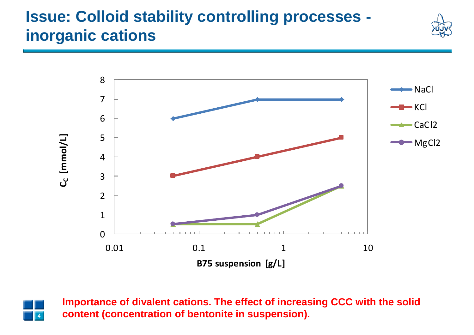## **Issue: Colloid stability controlling processes inorganic cations**







**Importance of divalent cations. The effect of increasing CCC with the solid content (concentration of bentonite in suspension).**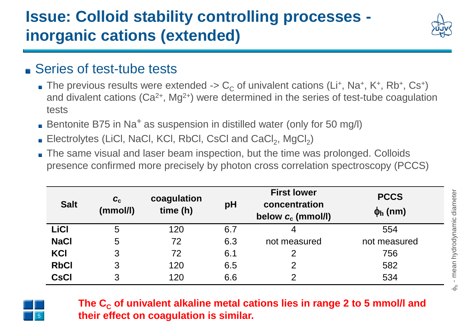## **Issue: Colloid stability controlling processes inorganic cations (extended)**



### ■ Series of test-tube tests

- The previous results were extended ->  $\rm C_c$  of univalent cations (Li+, Na+, K+, Rb+, Cs+) and divalent cations  $(Ca^{2+}, Mg^{2+})$  were determined in the series of test-tube coagulation tests
- Bentonite B75 in Na<sup>+</sup> as suspension in distilled water (only for 50 mg/l)
- Electrolytes (LiCl, NaCl, KCl, RbCl, CsCl and  $CaCl<sub>2</sub>$ , MgCl<sub>2</sub>)
- The same visual and laser beam inspection, but the time was prolonged. Colloids presence confirmed more precisely by photon cross correlation spectroscopy (PCCS)

| <b>Salt</b> | $\mathbf{C}_{\mathrm{c}}$<br>(mmol/l) | coagulation<br>time(h) | pH  | <b>First lower</b><br>concentration<br>below $c_c$ (mmol/l) | <b>PCCS</b><br>$\phi$ <sub>h</sub> (nm) |
|-------------|---------------------------------------|------------------------|-----|-------------------------------------------------------------|-----------------------------------------|
| <b>LiCI</b> | 5                                     | 120                    | 6.7 | 4                                                           | 554                                     |
| <b>NaCl</b> | 5                                     | 72                     | 6.3 | not measured                                                | not measured                            |
| KCI         | 3                                     | 72                     | 6.1 | 2                                                           | 756                                     |
| <b>RbCl</b> | 3                                     | 120                    | 6.5 | $\overline{2}$                                              | 582                                     |
| <b>CsCI</b> | 3                                     | 120                    | 6.6 | $\overline{2}$                                              | 534                                     |



**The C<sup>C</sup> of univalent alkaline metal cations lies in range 2 to 5 mmol/l and their effect on coagulation is similar.**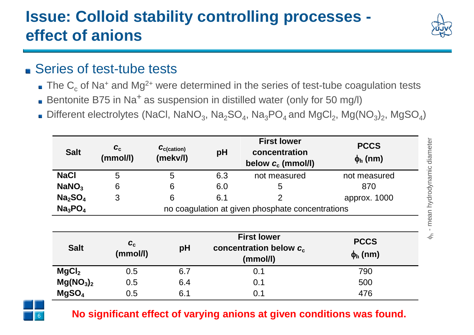# **Issue: Colloid stability controlling processes effect of anions**



### ■ Series of test-tube tests

- $\bullet$  The C<sub>c</sub> of Na<sup>+</sup> and Mg<sup>2+</sup> were determined in the series of test-tube coagulation tests
- Bentonite B75 in Na<sup>+</sup> as suspension in distilled water (only for 50 mg/l)
- Different electrolytes (NaCl, NaNO<sub>3</sub>, Na<sub>2</sub>SO<sub>4</sub>, Na<sub>3</sub>PO<sub>4</sub> and MgCl<sub>2</sub>, Mg(NO<sub>3</sub>)<sub>2</sub>, MgSO<sub>4</sub>)

| <b>Salt</b>                     | $c_{c}$<br>(mmol/l)                              | $\mathcal{C}_{\text{c}(\text{cation})}$<br>(mekv/l) | pH  | <b>First lower</b><br>concentration<br>below $c_c$ (mmol/l) | <b>PCCS</b><br>$\phi_{\rm h}$ (nm) |
|---------------------------------|--------------------------------------------------|-----------------------------------------------------|-----|-------------------------------------------------------------|------------------------------------|
| <b>NaCl</b>                     | 5                                                | 5                                                   | 6.3 | not measured                                                | not measured                       |
| NaNO <sub>3</sub>               | 6                                                | 6                                                   | 6.0 | 5                                                           | 870                                |
| Na <sub>2</sub> SO <sub>4</sub> | 3                                                | 6                                                   | 6.1 | 2                                                           | approx. 1000                       |
| Na <sub>3</sub> PO <sub>4</sub> | no coagulation at given phosphate concentrations |                                                     |     |                                                             |                                    |

| <b>Salt</b>                       | $\boldsymbol{c}_{\rm c}$<br>(mmol/l) | pH  | <b>First lower</b><br>concentration below $c_c$<br>(mmol/l) | <b>PCCS</b><br>$\phi_{h}$ (nm) |
|-----------------------------------|--------------------------------------|-----|-------------------------------------------------------------|--------------------------------|
| MgCl <sub>2</sub>                 | 0.5                                  | 6.7 | 0.1                                                         | 790                            |
| Mg(NO <sub>3</sub> ) <sub>2</sub> | 0.5                                  | 6.4 | 0.1                                                         | 500                            |
| MgSO <sub>4</sub>                 | 0.5                                  | 6.1 | 0.1                                                         | 476                            |



#### **No significant effect of varying anions at given conditions was found.**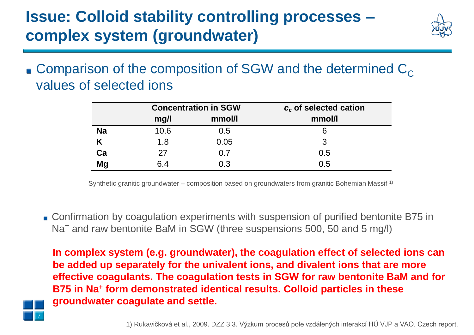## **Issue: Colloid stability controlling processes – complex system (groundwater)**



**Comparison of the composition of SGW and the determined**  $C_{\text{C}}$ values of selected ions

|           |      | <b>Concentration in SGW</b> | $c_c$ of selected cation |  |  |
|-----------|------|-----------------------------|--------------------------|--|--|
|           | mg/l | mmol/l                      | mmol/l                   |  |  |
| <b>Na</b> | 10.6 | 0.5                         | 6                        |  |  |
|           | 1.8  | 0.05                        | 3                        |  |  |
| Ca        | 27   | 0.7                         | 0.5                      |  |  |
| <b>Mg</b> | 6.4  | 0.3                         | 0.5                      |  |  |

Synthetic granitic groundwater – composition based on groundwaters from granitic Bohemian Massif 1)

■ Confirmation by coagulation experiments with suspension of purified bentonite B75 in Na<sup>+</sup> and raw bentonite BaM in SGW (three suspensions 500, 50 and 5 mg/l)

**In complex system (e.g. groundwater), the coagulation effect of selected ions can be added up separately for the univalent ions, and divalent ions that are more effective coagulants. The coagulation tests in SGW for raw bentonite BaM and for B75 in Na<sup>+</sup> form demonstrated identical results. Colloid particles in these groundwater coagulate and settle.**

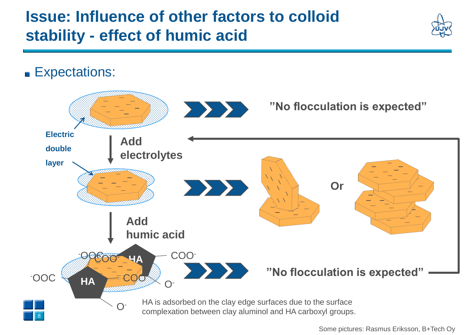### **Issue: Influence of other factors to colloid stability - effect of humic acid**



**Expectations:** 



Some pictures: Rasmus Eriksson, B+Tech Oy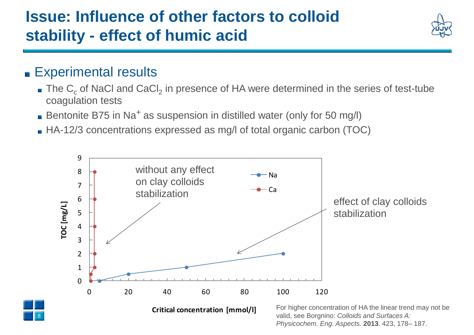## **Issue: Influence of other factors to colloid stability - effect of humic acid**



#### **Experimental results**

- The  $\textsf{C}_\textsf{c}$  of NaCl and CaCl<sub>2</sub> in presence of HA were determined in the series of test-tube coagulation tests
- Bentonite B75 in Na<sup>+</sup> as suspension in distilled water (only for 50 mg/l)
- HA-12/3 concentrations expressed as mg/l of total organic carbon (TOC)

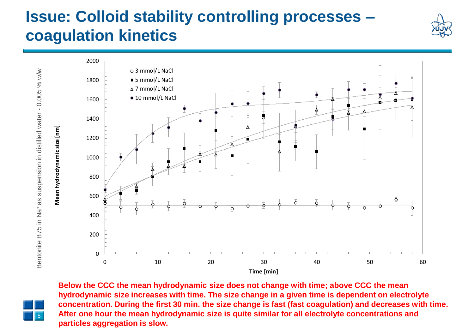### **Issue: Colloid stability controlling processes – coagulation kinetics**



Bentonite B75 in Na<sup>+</sup> as suspension in distilled water - 0.005 % w/w Bentonite B75 in Na+ as suspension in distilled water - 0.005 % w/w



**Below the CCC the mean hydrodynamic size does not change with time; above CCC the mean hydrodynamic size increases with time. The size change in a given time is dependent on electrolyte concentration. During the first 30 min. the size change is fast (fast coagulation) and decreases with time. After one hour the mean hydrodynamic size is quite similar for all electrolyte concentrations and particles aggregation is slow.**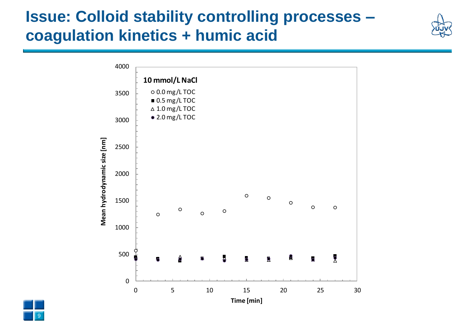### **Issue: Colloid stability controlling processes – coagulation kinetics + humic acid**



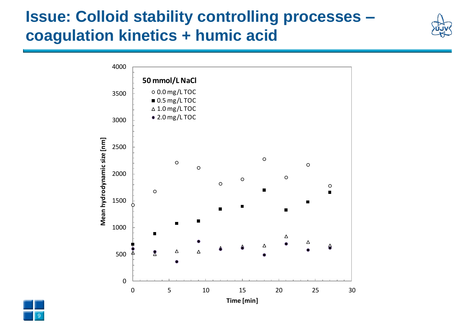### **Issue: Colloid stability controlling processes – coagulation kinetics + humic acid**



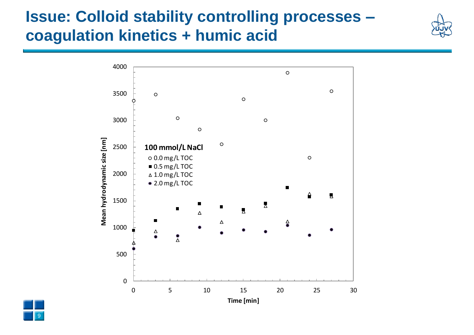## **Issue: Colloid stability controlling processes – coagulation kinetics + humic acid**